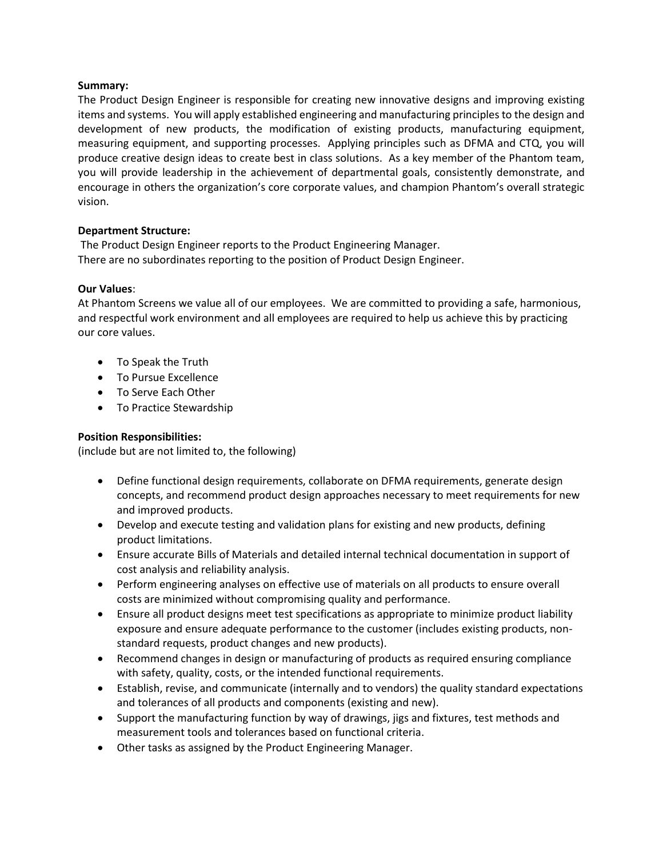### **Summary:**

The Product Design Engineer is responsible for creating new innovative designs and improving existing items and systems. You will apply established engineering and manufacturing principles to the design and development of new products, the modification of existing products, manufacturing equipment, measuring equipment, and supporting processes. Applying principles such as DFMA and CTQ, you will produce creative design ideas to create best in class solutions. As a key member of the Phantom team, you will provide leadership in the achievement of departmental goals, consistently demonstrate, and encourage in others the organization's core corporate values, and champion Phantom's overall strategic vision.

#### **Department Structure:**

The Product Design Engineer reports to the Product Engineering Manager. There are no subordinates reporting to the position of Product Design Engineer.

# **Our Values**:

At Phantom Screens we value all of our employees. We are committed to providing a safe, harmonious, and respectful work environment and all employees are required to help us achieve this by practicing our core values.

- To Speak the Truth
- To Pursue Excellence
- To Serve Each Other
- To Practice Stewardship

# **Position Responsibilities:**

(include but are not limited to, the following)

- Define functional design requirements, collaborate on DFMA requirements, generate design concepts, and recommend product design approaches necessary to meet requirements for new and improved products.
- Develop and execute testing and validation plans for existing and new products, defining product limitations.
- Ensure accurate Bills of Materials and detailed internal technical documentation in support of cost analysis and reliability analysis.
- Perform engineering analyses on effective use of materials on all products to ensure overall costs are minimized without compromising quality and performance.
- Ensure all product designs meet test specifications as appropriate to minimize product liability exposure and ensure adequate performance to the customer (includes existing products, nonstandard requests, product changes and new products).
- Recommend changes in design or manufacturing of products as required ensuring compliance with safety, quality, costs, or the intended functional requirements.
- Establish, revise, and communicate (internally and to vendors) the quality standard expectations and tolerances of all products and components (existing and new).
- Support the manufacturing function by way of drawings, jigs and fixtures, test methods and measurement tools and tolerances based on functional criteria.
- Other tasks as assigned by the Product Engineering Manager.